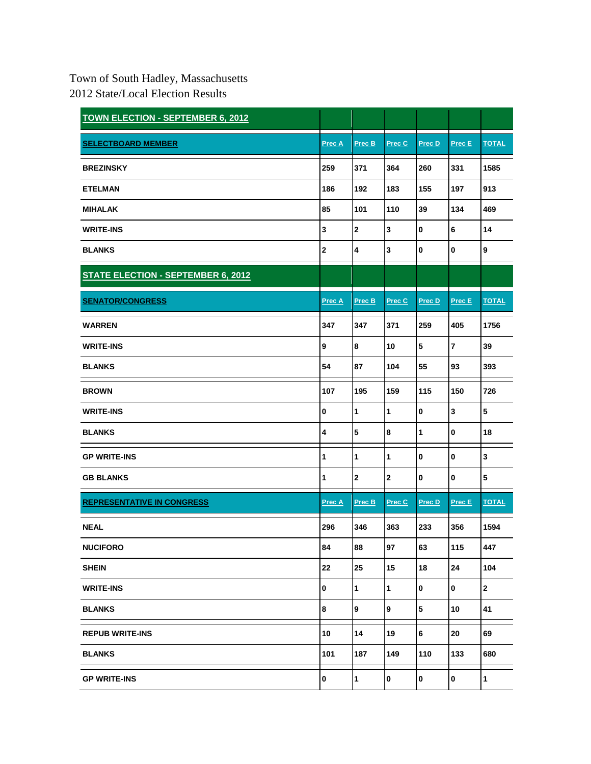## Town of South Hadley, Massachusetts 2012 State/Local Election Results

| <b>TOWN ELECTION - SEPTEMBER 6, 2012</b>  |               |                  |        |                         |                |              |
|-------------------------------------------|---------------|------------------|--------|-------------------------|----------------|--------------|
| <b>SELECTBOARD MEMBER</b>                 | Prec A        | Prec B           | Prec C | Prec D                  | Prec E         | <b>TOTAL</b> |
| <b>BREZINSKY</b>                          | 259           | 371              | 364    | 260                     | 331            | 1585         |
| <b>ETELMAN</b>                            | 186           | 192              | 183    | 155                     | 197            | 913          |
| <b>MIHALAK</b>                            | 85            | 101              | 110    | 39                      | 134            | 469          |
| <b>WRITE-INS</b>                          | 3             | $\mathbf{2}$     | 3      | $\mathbf 0$             | 6              | 14           |
| <b>BLANKS</b>                             | $\bf{2}$      | 4                | 3      | $\pmb{0}$               | $\pmb{0}$      | 9            |
| <b>STATE ELECTION - SEPTEMBER 6, 2012</b> |               |                  |        |                         |                |              |
| <b>SENATOR/CONGRESS</b>                   | <b>Prec A</b> | Prec B           | Prec C | Prec D                  | Prec E         | <b>TOTAL</b> |
| <b>WARREN</b>                             | 347           | 347              | 371    | 259                     | 405            | 1756         |
| <b>WRITE-INS</b>                          | 9             | 8                | 10     | $\overline{\mathbf{5}}$ | $\overline{7}$ | 39           |
| <b>BLANKS</b>                             | 54            | 87               | 104    | 55                      | 93             | 393          |
| <b>BROWN</b>                              | 107           | 195              | 159    | 115                     | 150            | 726          |
| <b>WRITE-INS</b>                          | $\pmb{0}$     | 1                | 1      | $\pmb{0}$               | 3              | 5            |
| <b>BLANKS</b>                             | 4             | 5                | 8      | 1                       | 0              | 18           |
| <b>GP WRITE-INS</b>                       | 1             | 1                | 1      | $\mathbf 0$             | 0              | 3            |
| <b>GB BLANKS</b>                          | 1             | $\mathbf{2}$     | 2      | $\bf{0}$                | $\pmb{0}$      | 5            |
| <b>REPRESENTATIVE IN CONGRESS</b>         | Prec A        | Prec B           | Prec C | Prec D                  | Prec E         | <b>TOTAL</b> |
| <b>NEAL</b>                               | 296           | 346              | 363    | 233                     | 356            | 1594         |
| <b>NUCIFORO</b>                           | 84            | 88               | 97     | 63                      | 115            | 447          |
| <b>SHEIN</b>                              | 22            | 25               | 15     | 18                      | 24             | 104          |
| <b>WRITE-INS</b>                          | $\bf{0}$      | 1                | 1      | $\pmb{0}$               | $\mathbf 0$    | $\mathbf 2$  |
| <b>BLANKS</b>                             | $\pmb{8}$     | $\boldsymbol{9}$ | 9      | $\overline{\mathbf{5}}$ | 10             | 41           |
| <b>REPUB WRITE-INS</b>                    | 10            | 14               | 19     | 6                       | 20             | 69           |
| <b>BLANKS</b>                             | 101           | 187              | 149    | 110                     | 133            | 680          |
| <b>GP WRITE-INS</b>                       | $\pmb{0}$     | 1                | 0      | $\pmb{0}$               | $\pmb{0}$      | $\mathbf{1}$ |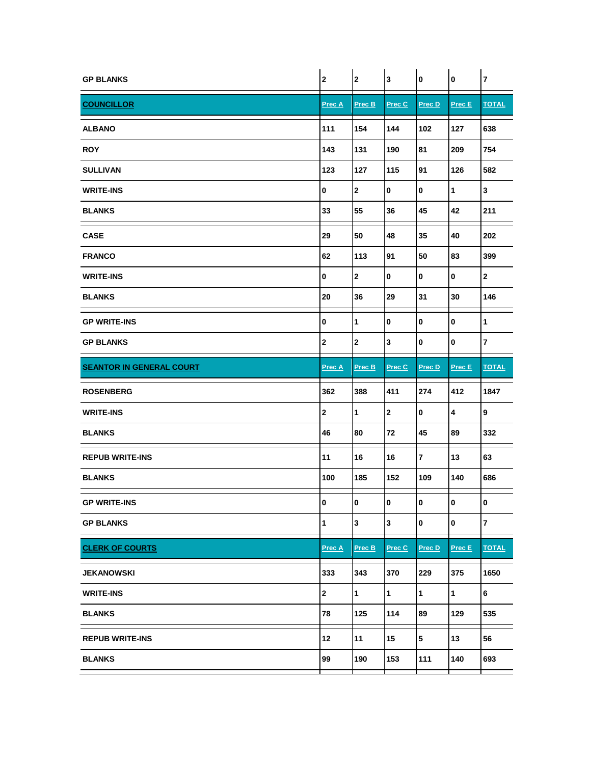| <b>GP BLANKS</b>                | $\mathbf{2}$  | $\mathbf{2}$ | 3            | $\pmb{0}$               | $\bf{0}$                | $\overline{\mathbf{r}}$ |
|---------------------------------|---------------|--------------|--------------|-------------------------|-------------------------|-------------------------|
| <b>COUNCILLOR</b>               | Prec A        | Prec B       | Prec C       | Prec D                  | Prec E                  | <b>TOTAL</b>            |
| <b>ALBANO</b>                   | 111           | 154          | 144          | 102                     | 127                     | 638                     |
| <b>ROY</b>                      | 143           | 131          | 190          | 81                      | 209                     | 754                     |
| <b>SULLIVAN</b>                 | 123           | 127          | 115          | 91                      | 126                     | 582                     |
| <b>WRITE-INS</b>                | 0             | $\mathbf{2}$ | 0            | $\pmb{0}$               | $\mathbf{1}$            | 3                       |
| <b>BLANKS</b>                   | 33            | 55           | 36           | 45                      | 42                      | 211                     |
| <b>CASE</b>                     | 29            | 50           | 48           | 35                      | 40                      | 202                     |
| <b>FRANCO</b>                   | 62            | 113          | 91           | 50                      | 83                      | 399                     |
| <b>WRITE-INS</b>                | $\mathbf 0$   | $\mathbf{2}$ | 0            | $\pmb{0}$               | 0                       | $\mathbf{2}$            |
| <b>BLANKS</b>                   | 20            | 36           | 29           | 31                      | 30                      | 146                     |
| <b>GP WRITE-INS</b>             | 0             | $\mathbf{1}$ | 0            | $\pmb{0}$               | 0                       | $\mathbf{1}$            |
| <b>GP BLANKS</b>                | $\mathbf 2$   | $\mathbf{2}$ | 3            | $\pmb{0}$               | 0                       | $\overline{\mathbf{r}}$ |
| <b>SEANTOR IN GENERAL COURT</b> | <b>Prec A</b> | Prec B       | Prec C       | Prec D                  | Prec E                  | <b>TOTAL</b>            |
|                                 |               |              |              |                         |                         |                         |
| <b>ROSENBERG</b>                | 362           | 388          | 411          | 274                     | 412                     | 1847                    |
| <b>WRITE-INS</b>                | $\mathbf{2}$  | $\mathbf{1}$ | $\mathbf{2}$ | $\mathbf{0}$            | $\overline{\mathbf{4}}$ | 9                       |
| <b>BLANKS</b>                   | 46            | 80           | 72           | 45                      | 89                      | 332                     |
| <b>REPUB WRITE-INS</b>          | 11            | 16           | 16           | $\overline{\mathbf{r}}$ | 13                      | 63                      |
| <b>BLANKS</b>                   | 100           | 185          | 152          | 109                     | 140                     | 686                     |
| <b>GP WRITE-INS</b>             | 0             | 0            | 0            | 0                       | 0                       | 0                       |
| <b>GP BLANKS</b>                | 1             | $\mathbf{3}$ | $\mathbf{3}$ | $\pmb{0}$               | $\pmb{0}$               | $\overline{7}$          |
| <b>CLERK OF COURTS</b>          | Prec A        | Prec B       | Prec C       | Prec D                  | Prec E                  | <b>TOTAL</b>            |
| <b>JEKANOWSKI</b>               | 333           | 343          | 370          | 229                     | 375                     | 1650                    |
| <b>WRITE-INS</b>                | $\mathbf 2$   | $\mathbf{1}$ | $\mathbf{1}$ | $\mathbf{1}$            | $\mathbf{1}$            | 6                       |
| <b>BLANKS</b>                   | 78            | 125          | 114          | 89                      | 129                     | 535                     |
| <b>REPUB WRITE-INS</b>          | 12            | 11           | 15           | $5\phantom{a}$          | 13                      | 56                      |
| <b>BLANKS</b>                   | 99            | 190          | 153          | 111                     | 140                     | 693                     |